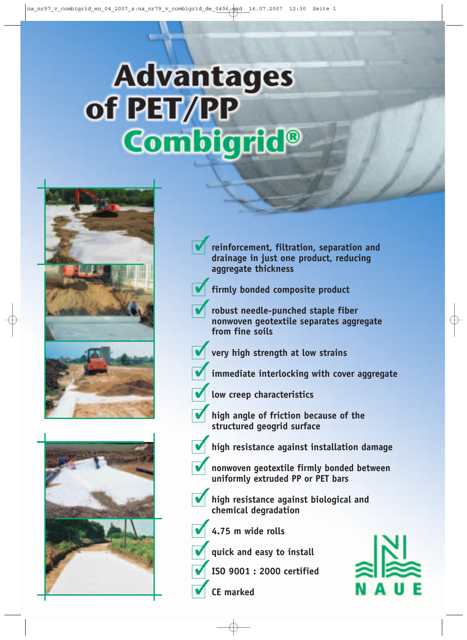# **Advantages** of PET/PP Combigrid<sup>®</sup>





**reinforcement, filtration, separation and drainage in just one product, reducing aggregate thickness**



**firmly bonded composite product**

**robust needle-punched staple fiber nonwoven geotextile separates aggregate from fine soils**



**very high strength at low strains**

- **immediate interlocking with cover aggregate**
- **low creep characteristics**
- **high angle of friction because of the structured geogrid surface**



- **high resistance against installation damage**
- **nonwoven geotextile firmly bonded between uniformly extruded PP or PET bars**
- 
- **high resistance against biological and chemical degradation**

**4.75 m wide rolls**

**quick and easy to install**

**ISO 9001 : 2000 certified**

**CE marked**

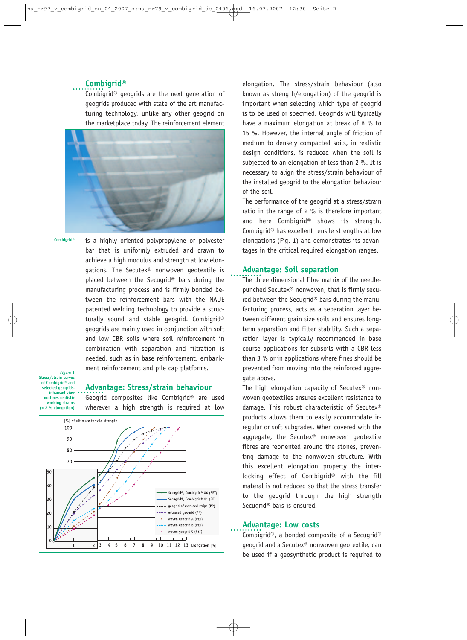## **Combigrid®**

Combigrid® geogrids are the next generation of geogrids produced with state of the art manufacturing technology, unlike any other geogrid on the marketplace today. The reinforcement element



is a highly oriented polypropylene or polyester bar that is uniformly extruded and drawn to achieve a high modulus and strength at low elongations. The Secutex<sup>®</sup> nonwoven geotextile is placed between the Secugrid® bars during the manufacturing process and is firmly bonded be tween the reinforcement bars with the NAUE patented welding technology to provide a structurally sound and stable geogrid. Combigrid® geogrids are mainly used in conjunction with soft and low CBR soils where soil reinforcement in combination with separation and filtration is needed, such as in base reinforcement, embankment reinforcement and pile cap platforms. **Combigrid®**

*Figure 1* **Stress/strain curves of Combigrid® and selected geogrids. Enhanced view outlines realistic working strains (< 2 % elongation)**

#### **Advantage: Stress/strain behaviour**

Geogrid composites like Combigrid® are used wherever a high strength is required at low



elongation. The stress/strain behaviour (also known as strength/elongation) of the geogrid is important when selecting which type of geogrid is to be used or specified. Geogrids will typically have a maximum elongation at break of 6 % to 15 %. However, the internal angle of friction of medium to densely compacted soils, in realistic design conditions, is reduced when the soil is subjected to an elongation of less than 2 %. It is necessary to align the stress/strain behaviour of the installed geogrid to the elongation behaviour of the soil.

The performance of the geogrid at a stress/strain ratio in the range of 2 % is therefore important and here Combigrid® shows its strength. Combigrid® has excellent tensile strengths at low elongations (Fig. 1) and demonstrates its advantages in the critical required elongation ranges.

### **Advantage: Soil separation**

The three dimensional fibre matrix of the needlepunched Secutex® nonwoven, that is firmly secured between the Secugrid® bars during the manufacturing process, acts as a separation layer between different grain size soils and ensures longterm separation and filter stability. Such a separation layer is typically recommended in base course applications for subsoils with a CBR less than 3 % or in applications where fines should be prevented from moving into the reinforced aggregate above.

The high elongation capacity of Secutex® nonwoven geotextiles ensures excellent resistance to damage. This robust characteristic of Secutex® products allows them to easily accommodate irregular or soft subgrades. When covered with the aggregate, the Secutex® nonwoven geotextile fibres are reoriented around the stones, preventing damage to the nonwoven structure. With this excellent elongation property the interlocking effect of Combigrid® with the fill materal is not reduced so that the stress transfer to the geogrid through the high strength Secugrid® bars is ensured.

### **Advantage: Low costs**

Combigrid®, a bonded composite of a Secugrid® geogrid and a Secutex® nonwoven geotextile, can be used if a geosynthetic product is required to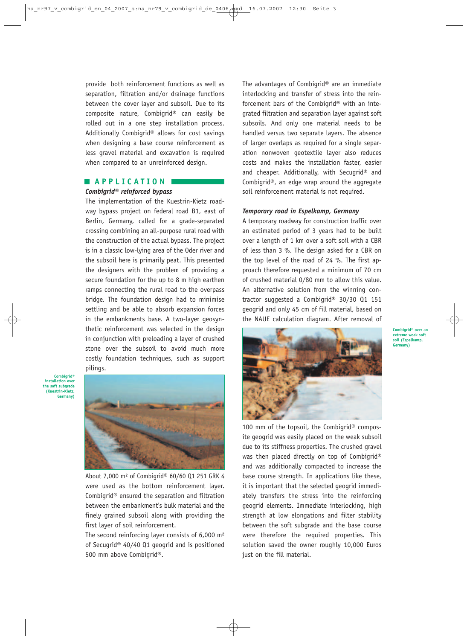provide both reinforcement functions as well as separation, filtration and/or drainage functions between the cover layer and subsoil. Due to its composite nature, Combigrid® can easily be rolled out in a one step installation process. Additionally Combigrid® allows for cost savings when designing a base course reinforcement as less gravel material and excavation is required when compared to an unreinforced design.

# **APPLICATION**

#### *Combigrid® reinforced bypass*

The implementation of the Kuestrin-Kietz roadway bypass project on federal road B1, east of Berlin, Germany, called for a grade-separated crossing combining an all-purpose rural road with the construction of the actual bypass. The project is in a classic low-lying area of the Oder river and the subsoil here is primarily peat. This presented the designers with the problem of providing a secure foundation for the up to 8 m high earthen ramps connecting the rural road to the overpass bridge. The foundation design had to minimise settling and be able to absorb expansion forces in the embankments base. A two-layer geosynthetic rein forcement was selected in the design in conjunction with preloading a layer of crushed stone over the subsoil to avoid much more costly foundation techniques, such as support pilings.

**Combigrid® installation over the soft subgrade (Kuestrin-Kietz, Germany)**



About 7,000 m² of Combigrid® 60/60 Q1 251 GRK 4 were used as the bottom reinforcement layer. Combigrid® ensured the separation and filtration between the embankment's bulk material and the finely grained subsoil along with providing the first layer of soil reinforcement.

The second reinforcing layer consists of 6,000 m² of Secugrid® 40/40 Q1 geogrid and is positioned 500 mm above Combigrid®.

The advantages of Combigrid® are an immediate interlocking and transfer of stress into the reinforcement bars of the Combigrid® with an integrated filtration and separation layer against soft subsoils. And only one material needs to be handled versus two separate layers. The absence of larger overlaps as required for a single separation nonwoven geotextile layer also reduces costs and makes the installation faster, easier and cheaper. Additionally, with Secugrid® and Combigrid®, an edge wrap around the aggregate soil reinforcement material is not required.

#### *Temporary road in Espelkamp, Germany*

A temporary roadway for construction traffic over an estimated period of 3 years had to be built over a length of 1 km over a soft soil with a CBR of less than 3 %. The design asked for a CBR on the top level of the road of 24 %. The first approach therefore requested a minimum of 70 cm of crushed material 0/80 mm to allow this value. An alternative solution from the winning contractor suggested a Combigrid® 30/30 Q1 151 geogrid and only 45 cm of fill material, based on the NAUE calculation diagram. After removal of



**Combigrid® over an extreme weak soft soil (Espelkamp, Germany)**

100 mm of the topsoil, the Combigrid® composite geogrid was easily placed on the weak subsoil due to its stiffness properties. The crushed gravel was then placed directly on top of Combigrid® and was additionally compacted to increase the base course strength. In applications like these, it is important that the selected geogrid immediately transfers the stress into the reinforcing geogrid elements. Immediate interlocking, high strength at low elongations and filter stability between the soft subgrade and the base course were therefore the required properties. This solution saved the owner roughly 10,000 Euros just on the fill material.